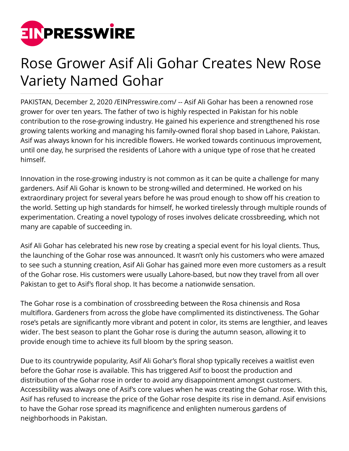

## Rose Grower Asif Ali Gohar Creates New Rose Variety Named Gohar

PAKISTAN, December 2, 2020 /[EINPresswire.com](http://www.einpresswire.com)/ -- Asif Ali Gohar has been a renowned rose grower for over ten years. The father of two is highly respected in Pakistan for his noble contribution to the rose-growing industry. He gained his experience and strengthened his rose growing talents working and managing his family-owned floral shop based in Lahore, Pakistan. Asif was always known for his incredible flowers. He worked towards continuous improvement, until one day, he surprised the residents of Lahore with a unique type of rose that he created himself.

Innovation in the rose-growing industry is not common as it can be quite a challenge for many gardeners. Asif Ali Gohar is known to be strong-willed and determined. He worked on his extraordinary project for several years before he was proud enough to show off his creation to the world. Setting up high standards for himself, he worked tirelessly through multiple rounds of experimentation. Creating a novel typology of roses involves delicate crossbreeding, which not many are capable of succeeding in.

Asif Ali Gohar has celebrated his new rose by creating a special event for his loyal clients. Thus, the launching of the Gohar rose was announced. It wasn't only his customers who were amazed to see such a stunning creation, Asif Ali Gohar has gained more even more customers as a result of the Gohar rose. His customers were usually Lahore-based, but now they travel from all over Pakistan to get to Asif's floral shop. It has become a nationwide sensation.

The Gohar rose is a combination of crossbreeding between the Rosa chinensis and Rosa multiflora. Gardeners from across the globe have complimented its distinctiveness. The Gohar rose's petals are significantly more vibrant and potent in color, its stems are lengthier, and leaves wider. The best season to plant the Gohar rose is during the autumn season, allowing it to provide enough time to achieve its full bloom by the spring season.

Due to its countrywide popularity, Asif Ali Gohar's floral shop typically receives a waitlist even before the Gohar rose is available. This has triggered Asif to boost the production and distribution of the Gohar rose in order to avoid any disappointment amongst customers. Accessibility was always one of Asif's core values when he was creating the Gohar rose. With this, Asif has refused to increase the price of the Gohar rose despite its rise in demand. Asif envisions to have the Gohar rose spread its magnificence and enlighten numerous gardens of neighborhoods in Pakistan.